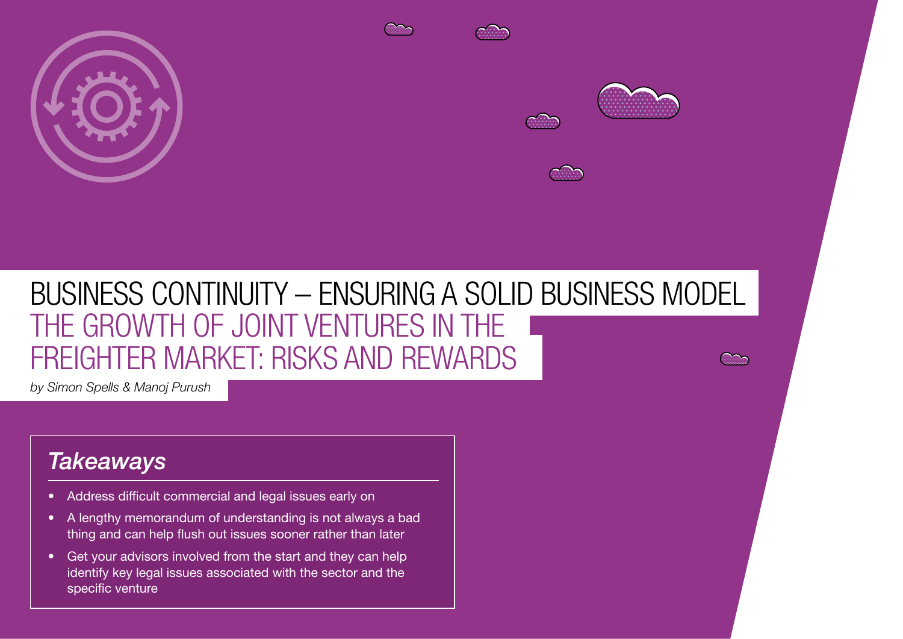

# BUSINESS CONTINUITY – ENSURING A SOLID BUSINESS MODEL THE GROWTH OF JOINT VENTURES IN THE FREIGHTER MARKET: RISKS AND REWARDS

*by Simon Spells & Manoj Purush*

# *Takeaways*

• Address difficult commercial and legal issues early on

 $\mathbf{S}(\mathbf{S}|\mathbf{S})$  represents the sky is the sky is the sky is the sky is the sky is the sky is the limit

- A lengthy memorandum of understanding is not always a bad thing and can help flush out issues sooner rather than later
- Get your advisors involved from the start and they can help identify key legal issues associated with the sector and the specific venture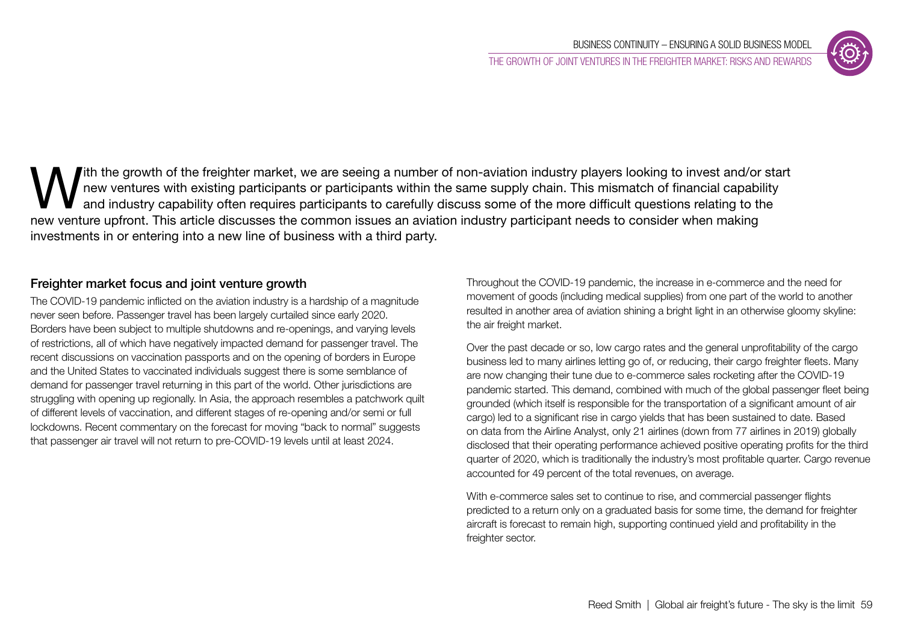

With the growth of the freighter market, we are seeing a number of non-aviation industry players looking to invest and/or start<br>
and industry capability often requires participants to carefully discuss some of the more dif new ventures with existing participants or participants within the same supply chain. This mismatch of financial capability and industry capability often requires participants to carefully discuss some of the more difficult questions relating to the new venture upfront. This article discusses the common issues an aviation industry participant needs to consider when making investments in or entering into a new line of business with a third party.

## Freighter market focus and joint venture growth

The COVID-19 pandemic inflicted on the aviation industry is a hardship of a magnitude never seen before. Passenger travel has been largely curtailed since early 2020. Borders have been subject to multiple shutdowns and re-openings, and varying levels of restrictions, all of which have negatively impacted demand for passenger travel. The recent discussions on vaccination passports and on the opening of borders in Europe and the United States to vaccinated individuals suggest there is some semblance of demand for passenger travel returning in this part of the world. Other jurisdictions are struggling with opening up regionally. In Asia, the approach resembles a patchwork quilt of different levels of vaccination, and different stages of re-opening and/or semi or full lockdowns. Recent commentary on the forecast for moving "back to normal" suggests that passenger air travel will not return to pre-COVID-19 levels until at least 2024.

Throughout the COVID-19 pandemic, the increase in e-commerce and the need for movement of goods (including medical supplies) from one part of the world to another resulted in another area of aviation shining a bright light in an otherwise gloomy skyline: the air freight market.

Over the past decade or so, low cargo rates and the general unprofitability of the cargo business led to many airlines letting go of, or reducing, their cargo freighter fleets. Many are now changing their tune due to e-commerce sales rocketing after the COVID-19 pandemic started. This demand, combined with much of the global passenger fleet being grounded (which itself is responsible for the transportation of a significant amount of air cargo) led to a significant rise in cargo yields that has been sustained to date. Based on data from the Airline Analyst, only 21 airlines (down from 77 airlines in 2019) globally disclosed that their operating performance achieved positive operating profits for the third quarter of 2020, which is traditionally the industry's most profitable quarter. Cargo revenue accounted for 49 percent of the total revenues, on average.

With e-commerce sales set to continue to rise, and commercial passenger flights predicted to a return only on a graduated basis for some time, the demand for freighter aircraft is forecast to remain high, supporting continued yield and profitability in the freighter sector.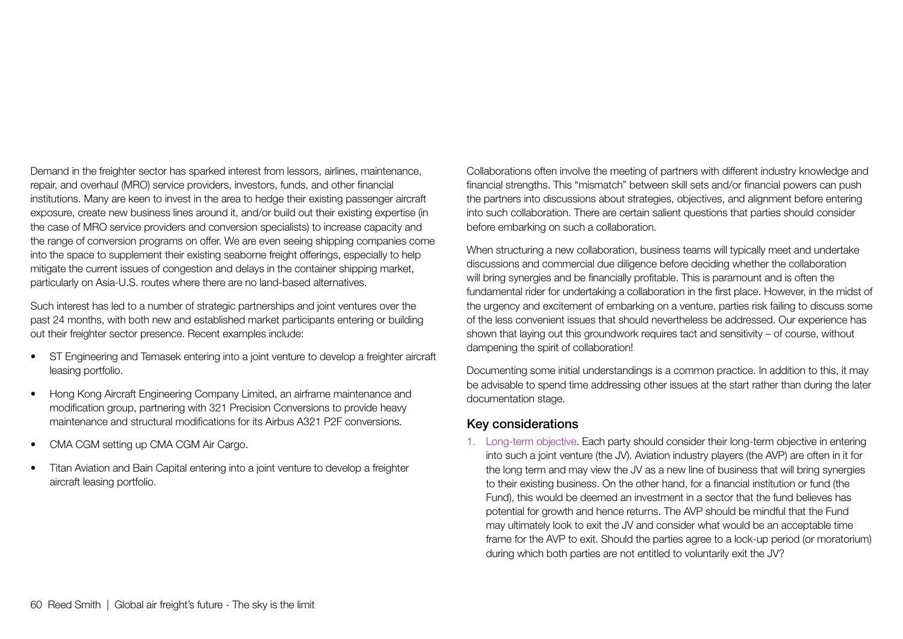Demand in the freighter sector has sparked interest from lessors, airlines, maintenance, repair, and overhaul (MRO) service providers, investors, funds, and other financial institutions. Many are keen to invest in the area to hedge their existing passenger aircraft exposure, create new business lines around it, and/or build out their existing expertise (in the case of MRO service providers and conversion specialists) to increase capacity and the range of conversion programs on offer. We are even seeing shipping companies come into the space to supplement their existing seaborne freight offerings, especially to help mitigate the current issues of congestion and delays in the container shipping market, particularly on Asia-U.S. routes where there are no land-based alternatives.

Such interest has led to a number of strategic partnerships and joint ventures over the past 24 months, with both new and established market participants entering or building out their freighter sector presence. Recent examples include:

- ST Engineering and Temasek entering into a joint venture to develop a freighter aircraft leasing portfolio.
- Hong Kong Aircraft Engineering Company Limited, an airframe maintenance and modification group, partnering with 321 Precision Conversions to provide heavy maintenance and structural modifications for its Airbus A321 P2F conversions.
- CMA CGM setting up CMA CGM Air Cargo.
- Titan Aviation and Bain Capital entering into a joint venture to develop a freighter aircraft leasing portfolio.

Collaborations often involve the meeting of partners with different industry knowledge and financial strengths. This "mismatch" between skill sets and/or financial powers can push the partners into discussions about strategies, objectives, and alignment before entering into such collaboration. There are certain salient questions that parties should consider before embarking on such a collaboration.

When structuring a new collaboration, business teams will typically meet and undertake discussions and commercial due diligence before deciding whether the collaboration will bring synergies and be financially profitable. This is paramount and is often the fundamental rider for undertaking a collaboration in the first place. However, in the midst of the urgency and excitement of embarking on a venture, parties risk failing to discuss some of the less convenient issues that should nevertheless be addressed. Our experience has shown that laying out this groundwork requires tact and sensitivity – of course, without dampening the spirit of collaboration!

Documenting some initial understandings is a common practice. In addition to this, it may be advisable to spend time addressing other issues at the start rather than during the later documentation stage.

#### Key considerations

1. Long-term objective. Each party should consider their long-term objective in entering into such a joint venture (the JV). Aviation industry players (the AVP) are often in it for the long term and may view the JV as a new line of business that will bring synergies to their existing business. On the other hand, for a financial institution or fund (the Fund), this would be deemed an investment in a sector that the fund believes has potential for growth and hence returns. The AVP should be mindful that the Fund may ultimately look to exit the JV and consider what would be an acceptable time frame for the AVP to exit. Should the parties agree to a lock-up period (or moratorium) during which both parties are not entitled to voluntarily exit the JV?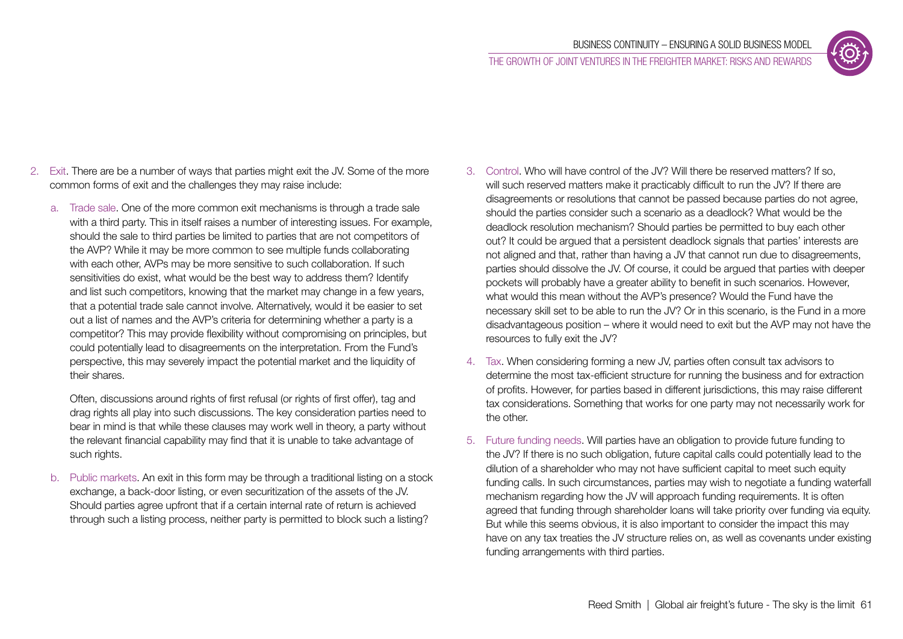THE GROWTH OF JOINT VENTURES IN THE FREIGHTER MARKET: RISKS AND REWARDS

- 2. Exit. There are be a number of ways that parties might exit the JV. Some of the more common forms of exit and the challenges they may raise include:
	- a. Trade sale. One of the more common exit mechanisms is through a trade sale with a third party. This in itself raises a number of interesting issues. For example, should the sale to third parties be limited to parties that are not competitors of the AVP? While it may be more common to see multiple funds collaborating with each other, AVPs may be more sensitive to such collaboration. If such sensitivities do exist, what would be the best way to address them? Identify and list such competitors, knowing that the market may change in a few years, that a potential trade sale cannot involve. Alternatively, would it be easier to set out a list of names and the AVP's criteria for determining whether a party is a competitor? This may provide flexibility without compromising on principles, but could potentially lead to disagreements on the interpretation. From the Fund's perspective, this may severely impact the potential market and the liquidity of their shares.

Often, discussions around rights of first refusal (or rights of first offer), tag and drag rights all play into such discussions. The key consideration parties need to bear in mind is that while these clauses may work well in theory, a party without the relevant financial capability may find that it is unable to take advantage of such rights.

b. Public markets. An exit in this form may be through a traditional listing on a stock exchange, a back-door listing, or even securitization of the assets of the JV. Should parties agree upfront that if a certain internal rate of return is achieved through such a listing process, neither party is permitted to block such a listing?

- 3. Control. Who will have control of the JV? Will there be reserved matters? If so, will such reserved matters make it practicably difficult to run the JV? If there are disagreements or resolutions that cannot be passed because parties do not agree, should the parties consider such a scenario as a deadlock? What would be the deadlock resolution mechanism? Should parties be permitted to buy each other out? It could be argued that a persistent deadlock signals that parties' interests are not aligned and that, rather than having a JV that cannot run due to disagreements, parties should dissolve the JV. Of course, it could be argued that parties with deeper pockets will probably have a greater ability to benefit in such scenarios. However, what would this mean without the AVP's presence? Would the Fund have the necessary skill set to be able to run the JV? Or in this scenario, is the Fund in a more disadvantageous position – where it would need to exit but the AVP may not have the resources to fully exit the JV?
- 4. Tax. When considering forming a new JV, parties often consult tax advisors to determine the most tax-efficient structure for running the business and for extraction of profits. However, for parties based in different jurisdictions, this may raise different tax considerations. Something that works for one party may not necessarily work for the other.
- 5. Future funding needs. Will parties have an obligation to provide future funding to the JV? If there is no such obligation, future capital calls could potentially lead to the dilution of a shareholder who may not have sufficient capital to meet such equity funding calls. In such circumstances, parties may wish to negotiate a funding waterfall mechanism regarding how the JV will approach funding requirements. It is often agreed that funding through shareholder loans will take priority over funding via equity. But while this seems obvious, it is also important to consider the impact this may have on any tax treaties the JV structure relies on, as well as covenants under existing funding arrangements with third parties.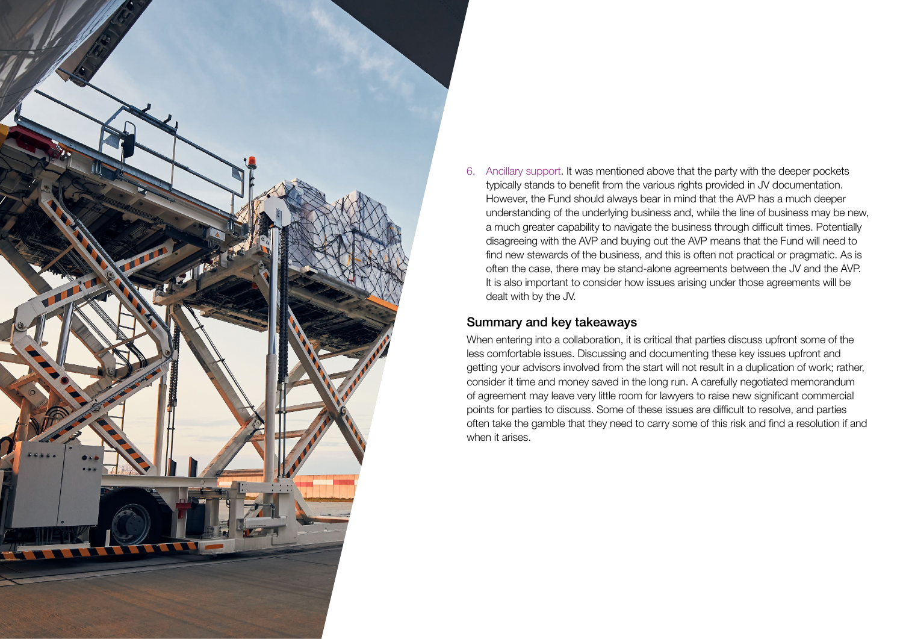

6. Ancillary support. It was mentioned above that the party with the deeper pockets typically stands to benefit from the various rights provided in JV documentation. However, the Fund should always bear in mind that the AVP has a much deeper understanding of the underlying business and, while the line of business may be new, a much greater capability to navigate the business through difficult times. Potentially disagreeing with the AVP and buying out the AVP means that the Fund will need to find new stewards of the business, and this is often not practical or pragmatic. As is often the case, there may be stand-alone agreements between the JV and the AVP. It is also important to consider how issues arising under those agreements will be dealt with by the JV.

#### Summary and key takeaways

When entering into a collaboration, it is critical that parties discuss upfront some of the less comfortable issues. Discussing and documenting these key issues upfront and getting your advisors involved from the start will not result in a duplication of work; rather, consider it time and money saved in the long run. A carefully negotiated memorandum of agreement may leave very little room for lawyers to raise new significant commercial points for parties to discuss. Some of these issues are difficult to resolve, and parties often take the gamble that they need to carry some of this risk and find a resolution if and when it arises.